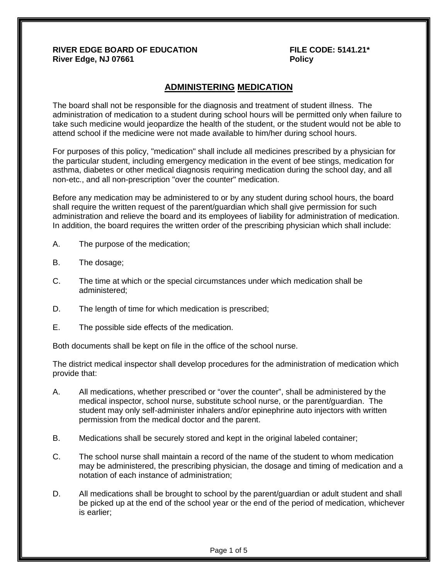#### **RIVER EDGE BOARD OF EDUCATION FILE CODE: 5141.21\* River Edge, NJ 07661 Policy**

# **ADMINISTERING MEDICATION**

The board shall not be responsible for the diagnosis and treatment of student illness. The administration of medication to a student during school hours will be permitted only when failure to take such medicine would jeopardize the health of the student, or the student would not be able to attend school if the medicine were not made available to him/her during school hours.

For purposes of this policy, "medication" shall include all medicines prescribed by a physician for the particular student, including emergency medication in the event of bee stings, medication for asthma, diabetes or other medical diagnosis requiring medication during the school day, and all non-etc., and all non-prescription "over the counter" medication.

Before any medication may be administered to or by any student during school hours, the board shall require the written request of the parent/guardian which shall give permission for such administration and relieve the board and its employees of liability for administration of medication. In addition, the board requires the written order of the prescribing physician which shall include:

- A. The purpose of the medication;
- B. The dosage;
- C. The time at which or the special circumstances under which medication shall be administered;
- D. The length of time for which medication is prescribed;
- E. The possible side effects of the medication.

Both documents shall be kept on file in the office of the school nurse.

The district medical inspector shall develop procedures for the administration of medication which provide that:

- A. All medications, whether prescribed or "over the counter", shall be administered by the medical inspector, school nurse, substitute school nurse, or the parent/guardian.The student may only self-administer inhalers and/or epinephrine auto injectors with written permission from the medical doctor and the parent.
- B. Medications shall be securely stored and kept in the original labeled container;
- C. The school nurse shall maintain a record of the name of the student to whom medication may be administered, the prescribing physician, the dosage and timing of medication and a notation of each instance of administration;
- D. All medications shall be brought to school by the parent/guardian or adult student and shall be picked up at the end of the school year or the end of the period of medication, whichever is earlier;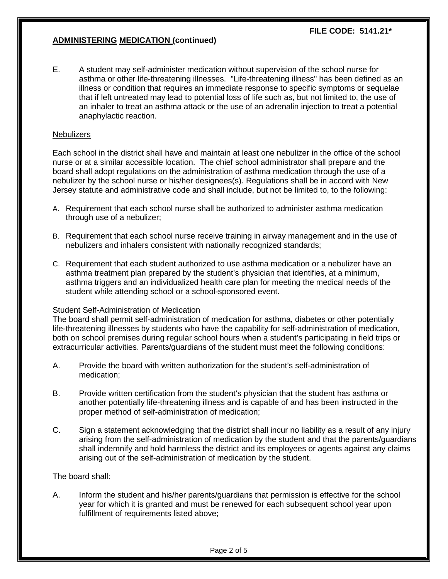## **ADMINISTERING MEDICATION (continued)**

E. A student may self-administer medication without supervision of the school nurse for asthma or other life-threatening illnesses. "Life-threatening illness" has been defined as an illness or condition that requires an immediate response to specific symptoms or sequelae that if left untreated may lead to potential loss of life such as, but not limited to, the use of an inhaler to treat an asthma attack or the use of an adrenalin injection to treat a potential anaphylactic reaction.

#### **Nebulizers**

Each school in the district shall have and maintain at least one nebulizer in the office of the school nurse or at a similar accessible location. The chief school administrator shall prepare and the board shall adopt regulations on the administration of asthma medication through the use of a nebulizer by the school nurse or his/her designees(s). Regulations shall be in accord with New Jersey statute and administrative code and shall include, but not be limited to, to the following:

- A. Requirement that each school nurse shall be authorized to administer asthma medication through use of a nebulizer;
- B. Requirement that each school nurse receive training in airway management and in the use of nebulizers and inhalers consistent with nationally recognized standards;
- C. Requirement that each student authorized to use asthma medication or a nebulizer have an asthma treatment plan prepared by the student's physician that identifies, at a minimum, asthma triggers and an individualized health care plan for meeting the medical needs of the student while attending school or a school-sponsored event.

#### Student Self-Administration of Medication

The board shall permit self-administration of medication for asthma, diabetes or other potentially life-threatening illnesses by students who have the capability for self-administration of medication, both on school premises during regular school hours when a student's participating in field trips or extracurricular activities. Parents/guardians of the student must meet the following conditions:

- A. Provide the board with written authorization for the student's self-administration of medication;
- B. Provide written certification from the student's physician that the student has asthma or another potentially life-threatening illness and is capable of and has been instructed in the proper method of self-administration of medication;
- C. Sign a statement acknowledging that the district shall incur no liability as a result of any injury arising from the self-administration of medication by the student and that the parents/guardians shall indemnify and hold harmless the district and its employees or agents against any claims arising out of the self-administration of medication by the student.

#### The board shall:

A. Inform the student and his/her parents/guardians that permission is effective for the school year for which it is granted and must be renewed for each subsequent school year upon fulfillment of requirements listed above;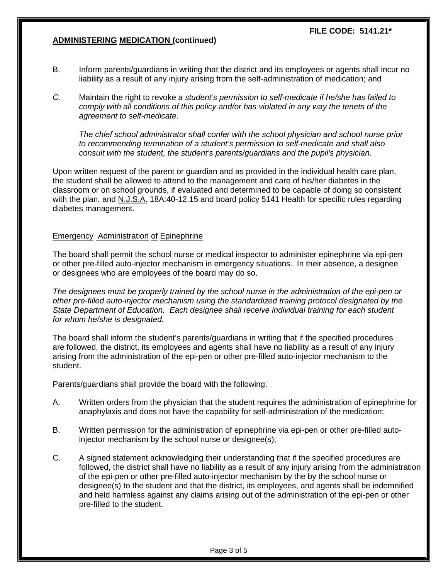## **ADMINISTERING MEDICATION (continued)**

- B. Inform parents/guardians in writing that the district and its employees or agents shall incur no liability as a result of any injury arising from the self-administration of medication; and
- *C.* Maintain the right to revoke *a student's permission to self-medicate if he/she has failed to comply with all conditions of this policy and/or has violated in any way the tenets of the agreement to self-medicate.*

*The chief school administrator shall confer with the school physician and school nurse prior to recommending termination of a student's permission to self-medicate and shall also consult with the student, the student's parents/guardians and the pupil's physician*.

Upon written request of the parent or guardian and as provided in the individual health care plan, the student shall be allowed to attend to the management and care of his/her diabetes in the classroom or on school grounds, if evaluated and determined to be capable of doing so consistent with the plan, and N.J.S.A. 18A:40-12.15 and board policy 5141 Health for specific rules regarding diabetes management.

#### Emergency Administration of Epinephrine

The board shall permit the school nurse or medical inspector to administer epinephrine via epi-pen or other pre-filled auto-injector mechanism in emergency situations. In their absence, a designee or designees who are employees of the board may do so.

*The designees must be properly trained by the school nurse in the administration of the epi-pen or other pre-filled auto-injector mechanism using the standardized training protocol designated by the State Department of Education. Each designee shall receive individual training for each student for whom he/she is designated.*

The board shall inform the student's parents/guardians in writing that if the specified procedures are followed, the district, its employees and agents shall have no liability as a result of any injury arising from the administration of the epi-pen or other pre-filled auto-injector mechanism to the student.

Parents/guardians shall provide the board with the following:

- A. Written orders from the physician that the student requires the administration of epinephrine for anaphylaxis and does not have the capability for self-administration of the medication;
- B. Written permission for the administration of epinephrine via epi-pen or other pre-filled autoinjector mechanism by the school nurse or designee(s);
- C. A signed statement acknowledging their understanding that if the specified procedures are followed, the district shall have no liability as a result of any injury arising from the administration of the epi-pen or other pre-filled auto-injector mechanism by the by the school nurse or designee(s) to the student and that the district, its employees, and agents shall be indemnified and held harmless against any claims arising out of the administration of the epi-pen or other pre-filled to the student.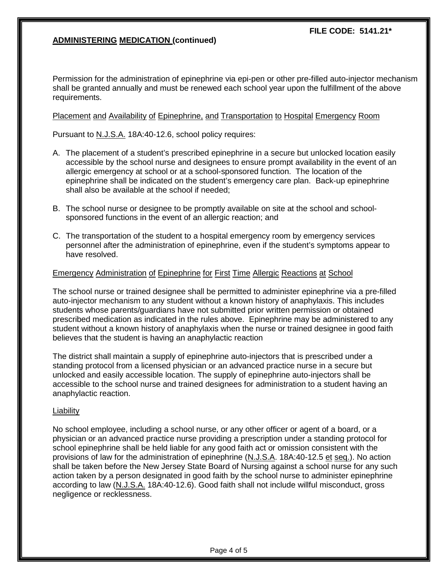## **ADMINISTERING MEDICATION (continued)**

Permission for the administration of epinephrine via epi-pen or other pre-filled auto-injector mechanism shall be granted annually and must be renewed each school year upon the fulfillment of the above requirements.

#### Placement and Availability of Epinephrine, and Transportation to Hospital Emergency Room

Pursuant to N.J.S.A. 18A:40-12.6, school policy requires:

- A. The placement of a student's prescribed epinephrine in a secure but unlocked location easily accessible by the school nurse and designees to ensure prompt availability in the event of an allergic emergency at school or at a school-sponsored function. The location of the epinephrine shall be indicated on the student's emergency care plan. Back-up epinephrine shall also be available at the school if needed;
- B. The school nurse or designee to be promptly available on site at the school and schoolsponsored functions in the event of an allergic reaction; and
- C. The transportation of the student to a hospital emergency room by emergency services personnel after the administration of epinephrine, even if the student's symptoms appear to have resolved.

## Emergency Administration of Epinephrine for First Time Allergic Reactions at School

The school nurse or trained designee shall be permitted to administer epinephrine via a pre-filled auto-injector mechanism to any student without a known history of anaphylaxis. This includes students whose parents/guardians have not submitted prior written permission or obtained prescribed medication as indicated in the rules above. Epinephrine may be administered to any student without a known history of anaphylaxis when the nurse or trained designee in good faith believes that the student is having an anaphylactic reaction

The district shall maintain a supply of epinephrine auto-injectors that is prescribed under a standing protocol from a licensed physician or an advanced practice nurse in a secure but unlocked and easily accessible location. The supply of epinephrine auto-injectors shall be accessible to the school nurse and trained designees for administration to a student having an anaphylactic reaction.

#### **Liability**

No school employee, including a school nurse, or any other officer or agent of a board, or a physician or an advanced practice nurse providing a prescription under a standing protocol for school epinephrine shall be held liable for any good faith act or omission consistent with the provisions of law for the administration of epinephrine (N.J.S.A. 18A:40-12.5 et seq.). No action shall be taken before the New Jersey State Board of Nursing against a school nurse for any such action taken by a person designated in good faith by the school nurse to administer epinephrine according to law (N.J.S.A. 18A:40-12.6). Good faith shall not include willful misconduct, gross negligence or recklessness.